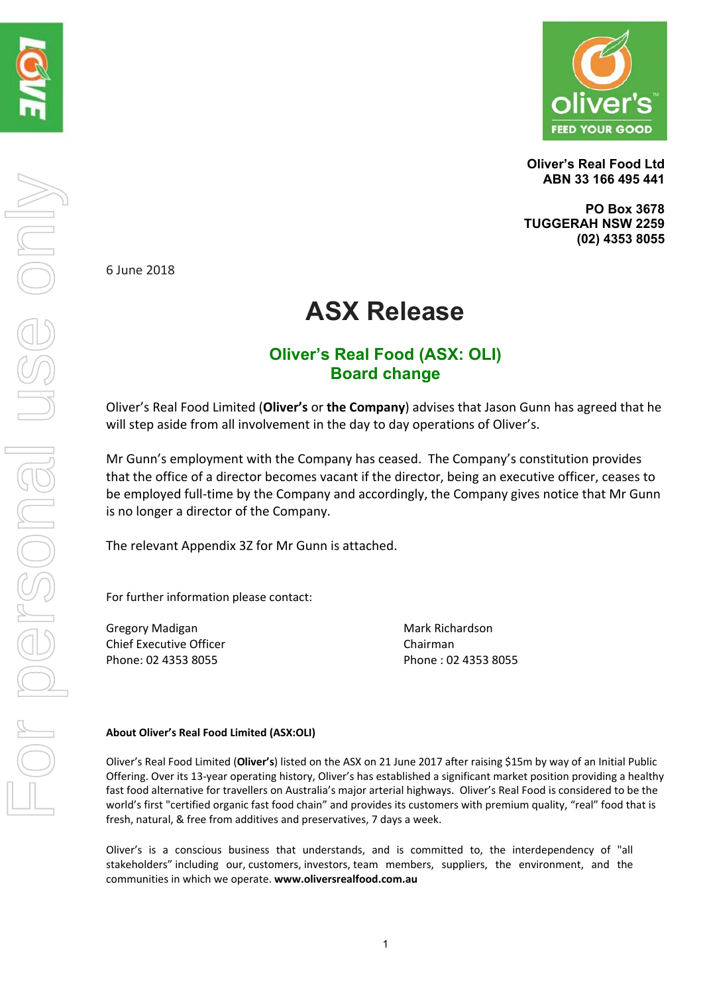

**Oliver's Real Food Ltd ABN 33 166 495 441** 

**PO Box 3678 TUGGERAH NSW 2259 (02) 4353 8055** 

6 June 2018

## **ASX Release**

### **Oliver's Real Food (ASX: OLI) Board change**

Oliver's Real Food Limited (**Oliver's** or **the Company**) advises that Jason Gunn has agreed that he will step aside from all involvement in the day to day operations of Oliver's.

Mr Gunn's employment with the Company has ceased. The Company's constitution provides that the office of a director becomes vacant if the director, being an executive officer, ceases to be employed full-time by the Company and accordingly, the Company gives notice that Mr Gunn is no longer a director of the Company.

The relevant Appendix 3Z for Mr Gunn is attached.

For further information please contact:

Gregory Madigan **Canadian Care and Science Mark Richardson** Chief Executive Officer **Chairman** Phone: 02 4353 8055 Phone : 02 4353 8055

#### **About Oliver's Real Food Limited (ASX:OLI)**

Oliver's Real Food Limited (**Oliver's**) listed on the ASX on 21 June 2017 after raising \$15m by way of an Initial Public Offering. Over its 13‐year operating history, Oliver's has established a significant market position providing a healthy fast food alternative for travellers on Australia's major arterial highways. Oliver's Real Food is considered to be the world's first "certified organic fast food chain" and provides its customers with premium quality, "real" food that is fresh, natural, & free from additives and preservatives, 7 days a week.

Oliver's is a conscious business that understands, and is committed to, the interdependency of "all stakeholders" including our, customers, investors, team members, suppliers, the environment, and the communities in which we operate. **www.oliversrealfood.com.au**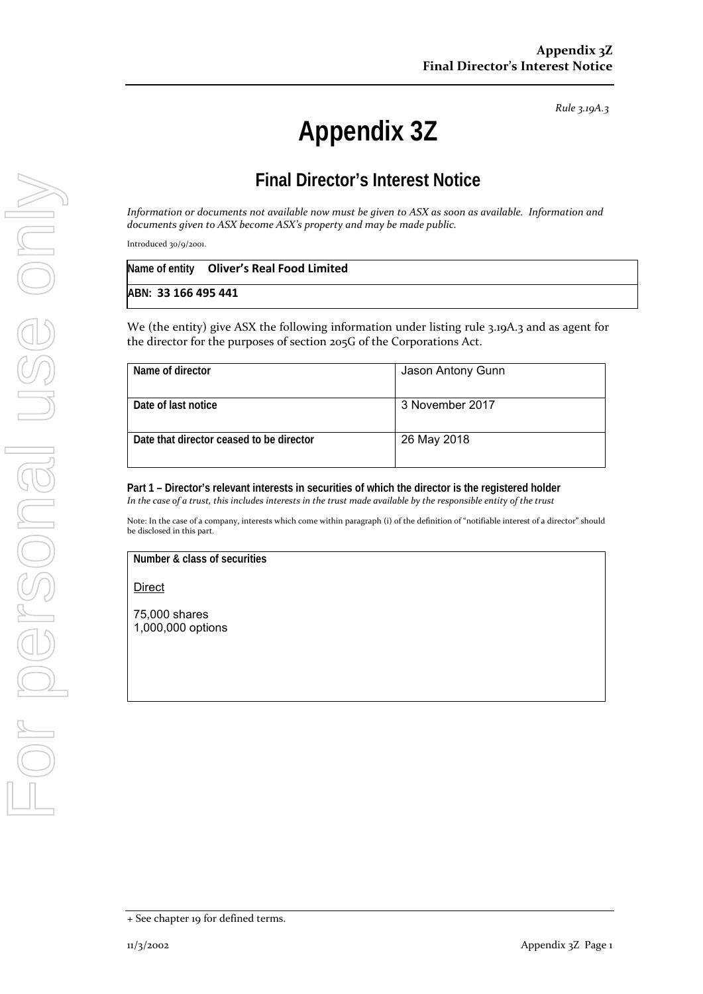*Rule 3.19A.3*

# **Appendix 3Z**

## **Final Director's Interest Notice**

Information or documents not available now must be given to ASX as soon as available. Information and *documents given to ASX become ASX's property and may be made public.*

Introduced 30/9/2001.

|                     | Name of entity Oliver's Real Food Limited |  |
|---------------------|-------------------------------------------|--|
| ABN: 33 166 495 441 |                                           |  |

We (the entity) give ASX the following information under listing rule 3.19A.3 and as agent for the director for the purposes of section 205G of the Corporations Act.

| Name of director                         | Jason Antony Gunn |
|------------------------------------------|-------------------|
| Date of last notice                      | 3 November 2017   |
| Date that director ceased to be director | 26 May 2018       |

**Part 1 – Director's relevant interests in securities of which the director is the registered holder** In the case of a trust, this includes interests in the trust made available by the responsible entity of the trust

Note: In the case of a company, interests which come within paragraph (i) of the definition of "notifiable interest of a director" should be disclosed in this part.

**Number & class of securities** 

**Direct** 

75,000 shares 1,000,000 options

<sup>+</sup> See chapter 19 for defined terms.